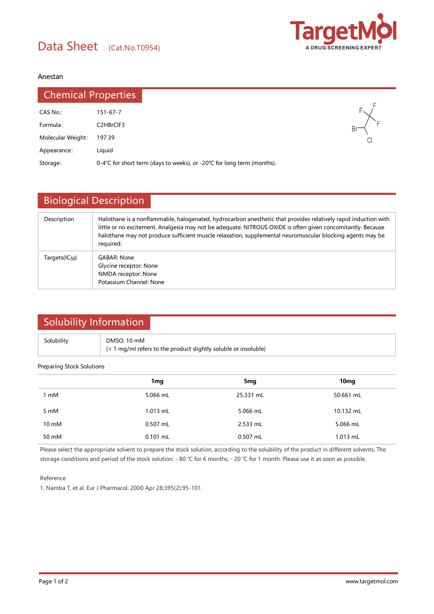

### Anestan

| <b>Chemical Properties</b> |                                                                      |
|----------------------------|----------------------------------------------------------------------|
| CAS No.:                   | $151 - 67 - 7$                                                       |
| Formula:                   | C <sub>2</sub> H <sub>Br</sub> CIF <sub>3</sub>                      |
| Molecular Weight:          | 197.39                                                               |
| Appearance:                | Liguid                                                               |
| Storage:                   | 0-4℃ for short term (days to weeks), or -20℃ for long term (months). |

|                            | <b>Biological Description</b>                                                                                                                                                                                                                                                                                                                           |  |  |  |
|----------------------------|---------------------------------------------------------------------------------------------------------------------------------------------------------------------------------------------------------------------------------------------------------------------------------------------------------------------------------------------------------|--|--|--|
| Description                | Halothane is a nonflammable, halogenated, hydrocarbon anesthetic that provides relatively rapid induction with<br>little or no excitement. Analgesia may not be adequate. NITROUS OXIDE is often given concomitantly. Because<br>halothane may not produce sufficient muscle relaxation, supplemental neuromuscular blocking agents may be<br>required. |  |  |  |
| Targets(IC <sub>50</sub> ) | <b>GABAR: None</b><br>Glycine receptor: None<br>NMDA receptor: None<br>Potassium Channel: None                                                                                                                                                                                                                                                          |  |  |  |

# Solubility Information

| Solubility | DMSO: 10 mM                                                             |
|------------|-------------------------------------------------------------------------|
|            | $\left($ < 1 mg/ml refers to the product slightly soluble or insoluble) |

#### Preparing Stock Solutions

|                 | 1 <sub>mg</sub> | 5mg        | 10 <sub>mg</sub> |
|-----------------|-----------------|------------|------------------|
| 1 mM            | 5.066 mL        | 25.331 mL  | 50.661 mL        |
| 5 mM            | $1.013$ mL      | 5.066 mL   | 10.132 mL        |
| $10 \text{ mM}$ | $0.507$ mL      | 2.533 mL   | 5.066 mL         |
| 50 mM           | $0.101$ mL      | $0.507$ mL | 1.013 mL         |

Please select the appropriate solvent to prepare the stock solution, according to the solubility of the product in different solvents. The storage conditions and period of the stock solution: - 80 ℃ for 6 months; - 20 ℃ for 1 month. Please use it as soon as possible.

#### Reference

1. Namba T, et al. Eur J Pharmacol. 2000 Apr 28;395(2):95-101.